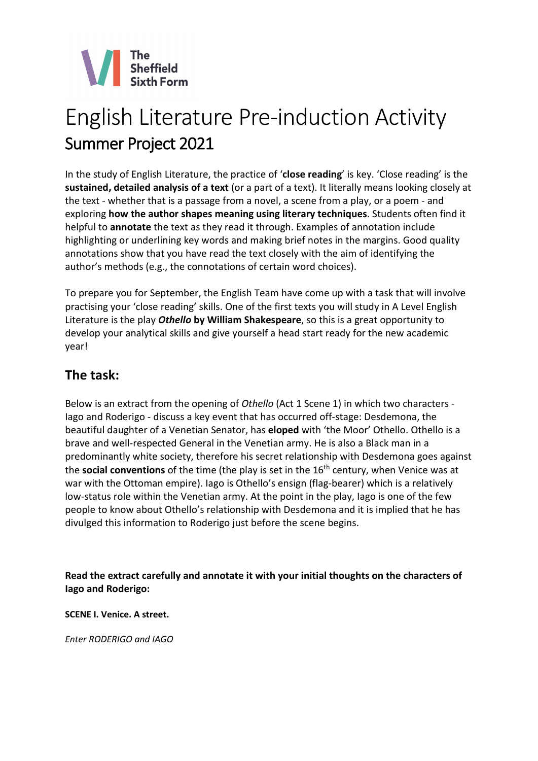

# English Literature Pre-induction Activity Summer Project 2021

In the study of English Literature, the practice of '**close reading**' is key. 'Close reading' is the **sustained, detailed analysis of a text** (or a part of a text). It literally means looking closely at the text - whether that is a passage from a novel, a scene from a play, or a poem - and exploring **how the author shapes meaning using literary techniques**. Students often find it helpful to **annotate** the text as they read it through. Examples of annotation include highlighting or underlining key words and making brief notes in the margins. Good quality annotations show that you have read the text closely with the aim of identifying the author's methods (e.g., the connotations of certain word choices).

To prepare you for September, the English Team have come up with a task that will involve practising your 'close reading' skills. One of the first texts you will study in A Level English Literature is the play *Othello* **by William Shakespeare**, so this is a great opportunity to develop your analytical skills and give yourself a head start ready for the new academic year!

# **The task:**

Below is an extract from the opening of *Othello* (Act 1 Scene 1) in which two characters - Iago and Roderigo - discuss a key event that has occurred off-stage: Desdemona, the beautiful daughter of a Venetian Senator, has **eloped** with 'the Moor' Othello. Othello is a brave and well-respected General in the Venetian army. He is also a Black man in a predominantly white society, therefore his secret relationship with Desdemona goes against the **social conventions** of the time (the play is set in the 16th century, when Venice was at war with the Ottoman empire). Iago is Othello's ensign (flag-bearer) which is a relatively low-status role within the Venetian army. At the point in the play, Iago is one of the few people to know about Othello's relationship with Desdemona and it is implied that he has divulged this information to Roderigo just before the scene begins.

**Read the extract carefully and annotate it with your initial thoughts on the characters of Iago and Roderigo:**

**SCENE I. Venice. A street.**

*Enter RODERIGO and IAGO*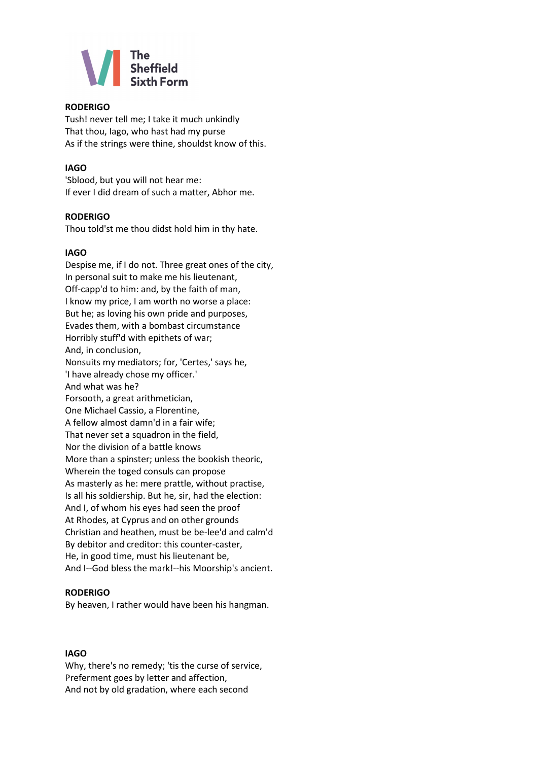

#### **RODERIGO**

Tush! never tell me; I take it much unkindly That thou, Iago, who hast had my purse As if the strings were thine, shouldst know of this.

#### **IAGO**

'Sblood, but you will not hear me: If ever I did dream of such a matter, Abhor me.

#### **RODERIGO**

Thou told'st me thou didst hold him in thy hate.

#### **IAGO**

Despise me, if I do not. Three great ones of the city, In personal suit to make me his lieutenant, Off-capp'd to him: and, by the faith of man, I know my price, I am worth no worse a place: But he; as loving his own pride and purposes, Evades them, with a bombast circumstance Horribly stuff'd with epithets of war; And, in conclusion, Nonsuits my mediators; for, 'Certes,' says he, 'I have already chose my officer.' And what was he? Forsooth, a great arithmetician, One Michael Cassio, a Florentine, A fellow almost damn'd in a fair wife; That never set a squadron in the field, Nor the division of a battle knows More than a spinster; unless the bookish theoric, Wherein the toged consuls can propose As masterly as he: mere prattle, without practise, Is all his soldiership. But he, sir, had the election: And I, of whom his eyes had seen the proof At Rhodes, at Cyprus and on other grounds Christian and heathen, must be be-lee'd and calm'd By debitor and creditor: this counter-caster, He, in good time, must his lieutenant be, And I--God bless the mark!--his Moorship's ancient.

#### **RODERIGO**

By heaven, I rather would have been his hangman.

#### **IAGO**

Why, there's no remedy; 'tis the curse of service, Preferment goes by letter and affection, And not by old gradation, where each second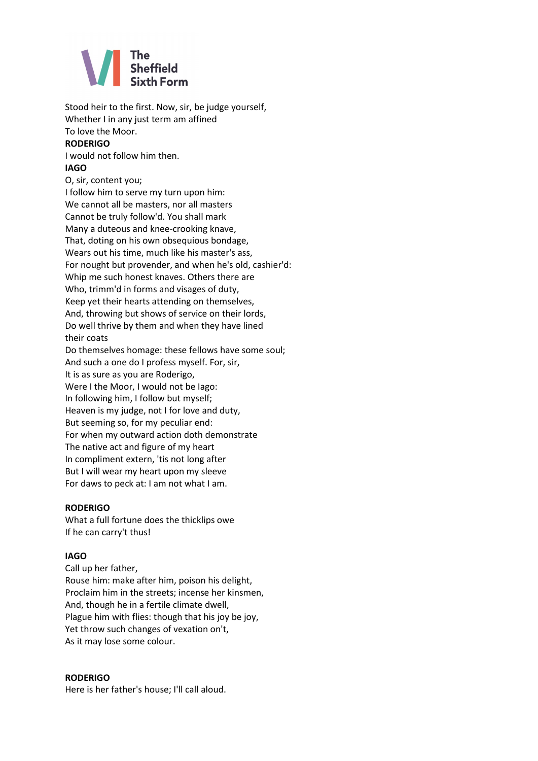

Stood heir to the first. Now, sir, be judge yourself, Whether I in any just term am affined To love the Moor.

#### **RODERIGO**

I would not follow him then. **IAGO**

#### O, sir, content you; I follow him to serve my turn upon him: We cannot all be masters, nor all masters Cannot be truly follow'd. You shall mark Many a duteous and knee-crooking knave, That, doting on his own obsequious bondage, Wears out his time, much like his master's ass, For nought but provender, and when he's old, cashier'd: Whip me such honest knaves. Others there are Who, trimm'd in forms and visages of duty, Keep yet their hearts attending on themselves, And, throwing but shows of service on their lords, Do well thrive by them and when they have lined their coats Do themselves homage: these fellows have some soul; And such a one do I profess myself. For, sir, It is as sure as you are Roderigo,

Were I the Moor, I would not be Iago: In following him, I follow but myself; Heaven is my judge, not I for love and duty, But seeming so, for my peculiar end: For when my outward action doth demonstrate The native act and figure of my heart In compliment extern, 'tis not long after But I will wear my heart upon my sleeve For daws to peck at: I am not what I am.

#### **RODERIGO**

What a full fortune does the thicklips owe If he can carry't thus!

#### **IAGO**

Call up her father, Rouse him: make after him, poison his delight, Proclaim him in the streets; incense her kinsmen, And, though he in a fertile climate dwell, Plague him with flies: though that his joy be joy, Yet throw such changes of vexation on't, As it may lose some colour.

#### **RODERIGO**

Here is her father's house; I'll call aloud.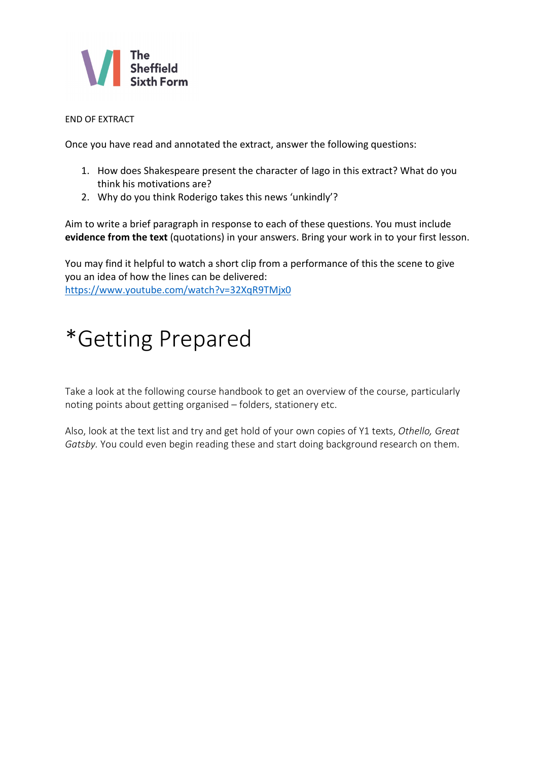

#### END OF EXTRACT

Once you have read and annotated the extract, answer the following questions:

- 1. How does Shakespeare present the character of Iago in this extract? What do you think his motivations are?
- 2. Why do you think Roderigo takes this news 'unkindly'?

Aim to write a brief paragraph in response to each of these questions. You must include **evidence from the text** (quotations) in your answers. Bring your work in to your first lesson.

You may find it helpful to watch a short clip from a performance of this the scene to give you an idea of how the lines can be delivered: <https://www.youtube.com/watch?v=32XqR9TMjx0>

# \*Getting Prepared

Take a look at the following course handbook to get an overview of the course, particularly noting points about getting organised – folders, stationery etc.

Also, look at the text list and try and get hold of your own copies of Y1 texts, *Othello, Great Gatsby.* You could even begin reading these and start doing background research on them.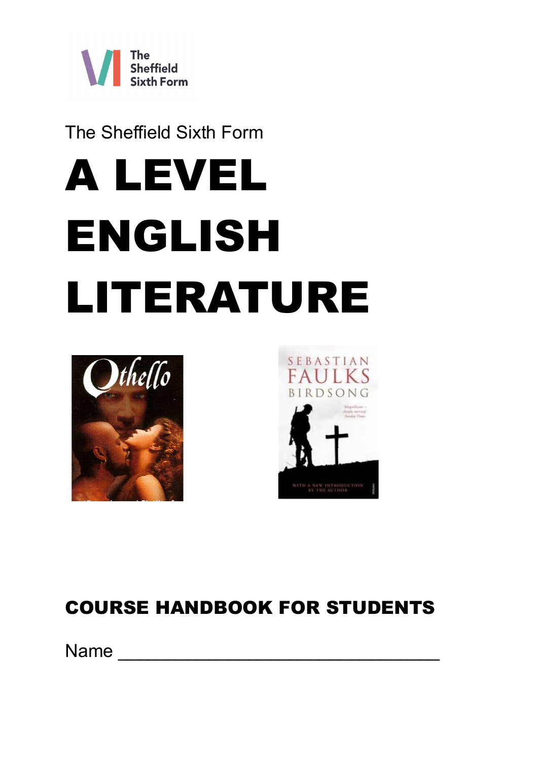

The Sheffield Sixth Form

# A LEVEL ENGLISH LITERATURE





# COURSE HANDBOOK FOR STUDENTS

Name  $\Box$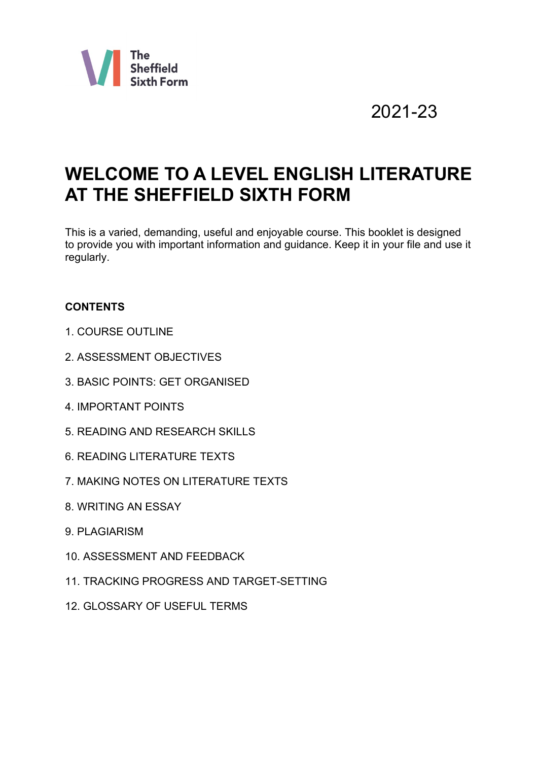

# 2021-23

# **WELCOME TO A LEVEL ENGLISH LITERATURE AT THE SHEFFIELD SIXTH FORM**

This is a varied, demanding, useful and enjoyable course. This booklet is designed to provide you with important information and guidance. Keep it in your file and use it regularly.

# **CONTENTS**

- 1. COURSE OUTLINE
- 2. ASSESSMENT OBJECTIVES
- 3. BASIC POINTS: GET ORGANISED
- 4. IMPORTANT POINTS
- 5. READING AND RESEARCH SKILLS
- 6. READING LITERATURE TEXTS
- 7. MAKING NOTES ON LITERATURE TEXTS
- 8. WRITING AN ESSAY
- 9. PLAGIARISM
- 10. ASSESSMENT AND FEEDBACK
- 11. TRACKING PROGRESS AND TARGET-SETTING
- 12. GLOSSARY OF USEFUL TERMS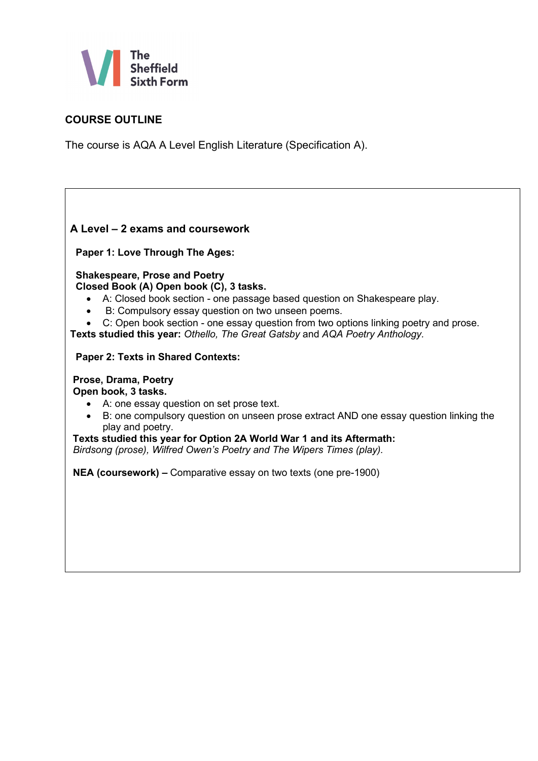

# **COURSE OUTLINE**

The course is AQA A Level English Literature (Specification A).

# **A Level – 2 exams and coursework**

**Paper 1: Love Through The Ages:** 

 **Shakespeare, Prose and Poetry Closed Book (A) Open book (C), 3 tasks.**

- A: Closed book section one passage based question on Shakespeare play.
- B: Compulsory essay question on two unseen poems.
- C: Open book section one essay question from two options linking poetry and prose.

**Texts studied this year:** *Othello, The Great Gatsby* and *AQA Poetry Anthology.*

#### **Paper 2: Texts in Shared Contexts:**

#### **Prose, Drama, Poetry Open book, 3 tasks.**

- A: one essay question on set prose text.
- B: one compulsory question on unseen prose extract AND one essay question linking the play and poetry.

#### **Texts studied this year for Option 2A World War 1 and its Aftermath:**

*Birdsong (prose), Wilfred Owen's Poetry and The Wipers Times (play).*

**NEA (coursework) –** Comparative essay on two texts (one pre-1900)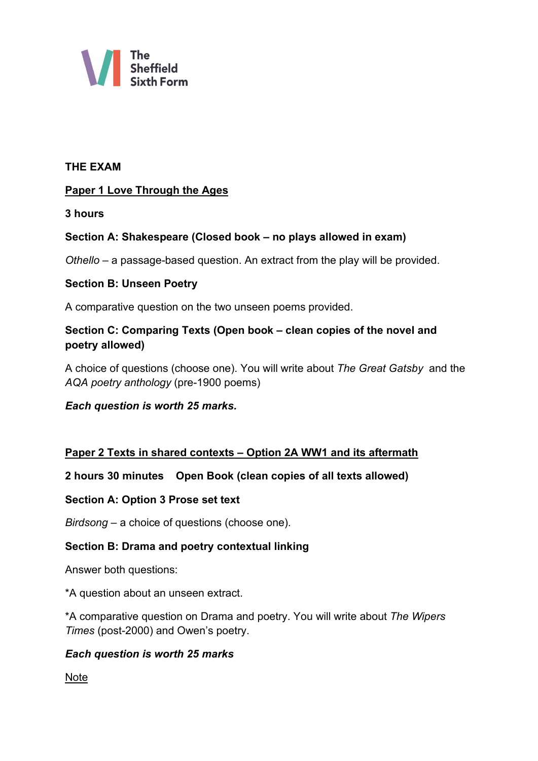

# **THE EXAM**

# **Paper 1 Love Through the Ages**

**3 hours**

# **Section A: Shakespeare (Closed book – no plays allowed in exam)**

*Othello* – a passage-based question. An extract from the play will be provided.

# **Section B: Unseen Poetry**

A comparative question on the two unseen poems provided.

# **Section C: Comparing Texts (Open book – clean copies of the novel and poetry allowed)**

A choice of questions (choose one). You will write about *The Great Gatsby* and the *AQA poetry anthology* (pre-1900 poems)

# *Each question is worth 25 marks.*

# **Paper 2 Texts in shared contexts – Option 2A WW1 and its aftermath**

#### **2 hours 30 minutes Open Book (clean copies of all texts allowed)**

#### **Section A: Option 3 Prose set text**

*Birdsong* – a choice of questions (choose one).

# **Section B: Drama and poetry contextual linking**

Answer both questions:

\*A question about an unseen extract.

\*A comparative question on Drama and poetry. You will write about *The Wipers Times* (post-2000) and Owen's poetry.

#### *Each question is worth 25 marks*

**Note**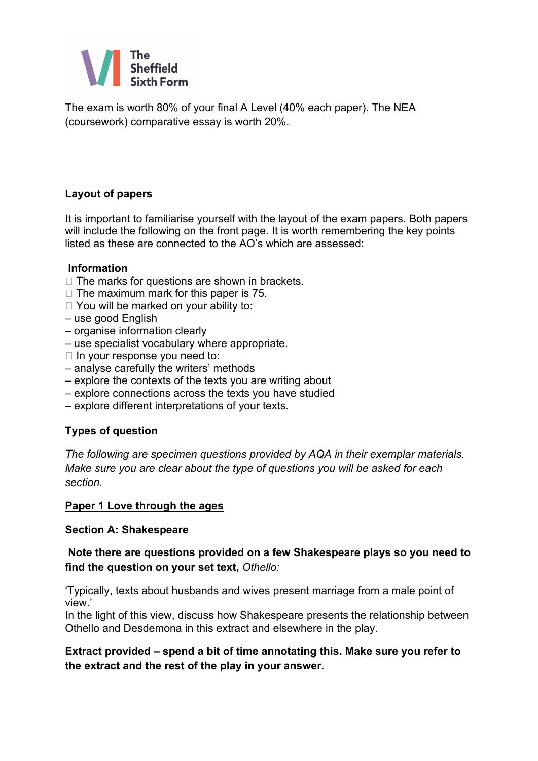

The exam is worth 80% of your final A Level (40% each paper). The NEA (coursework) comparative essay is worth 20%.

# **Layout of papers**

It is important to familiarise yourself with the layout of the exam papers. Both papers will include the following on the front page. It is worth remembering the key points listed as these are connected to the AO's which are assessed:

# **Information**

- $\Box$  The marks for questions are shown in brackets.
- $\Box$  The maximum mark for this paper is 75.
- □ You will be marked on your ability to:
- use good English
- organise information clearly
- use specialist vocabulary where appropriate.
- $\Box$  In your response you need to:
- analyse carefully the writers' methods
- explore the contexts of the texts you are writing about
- explore connections across the texts you have studied
- explore different interpretations of your texts.

# **Types of question**

*The following are specimen questions provided by AQA in their exemplar materials. Make sure you are clear about the type of questions you will be asked for each section.*

# **Paper 1 Love through the ages**

#### **Section A: Shakespeare**

# **Note there are questions provided on a few Shakespeare plays so you need to find the question on your set text,** *Othello:*

'Typically, texts about husbands and wives present marriage from a male point of view.'

In the light of this view, discuss how Shakespeare presents the relationship between Othello and Desdemona in this extract and elsewhere in the play.

# **Extract provided – spend a bit of time annotating this. Make sure you refer to the extract and the rest of the play in your answer.**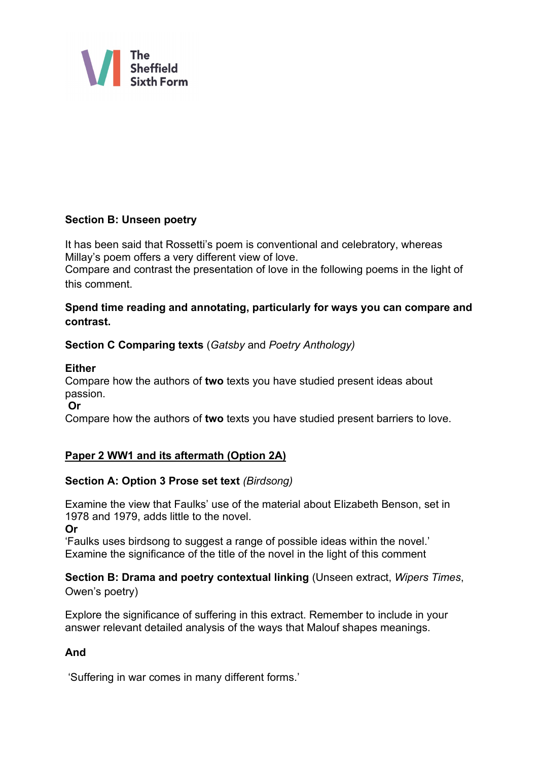

# **Section B: Unseen poetry**

It has been said that Rossetti's poem is conventional and celebratory, whereas Millay's poem offers a very different view of love.

Compare and contrast the presentation of love in the following poems in the light of this comment.

# **Spend time reading and annotating, particularly for ways you can compare and contrast.**

# **Section C Comparing texts** (*Gatsby* and *Poetry Anthology)*

# **Either**

Compare how the authors of **two** texts you have studied present ideas about passion.

#### **Or**

Compare how the authors of **two** texts you have studied present barriers to love.

# **Paper 2 WW1 and its aftermath (Option 2A)**

# **Section A: Option 3 Prose set text** *(Birdsong)*

Examine the view that Faulks' use of the material about Elizabeth Benson, set in 1978 and 1979, adds little to the novel.

**Or** 

'Faulks uses birdsong to suggest a range of possible ideas within the novel.' Examine the significance of the title of the novel in the light of this comment

**Section B: Drama and poetry contextual linking** (Unseen extract, *Wipers Times*, Owen's poetry)

Explore the significance of suffering in this extract. Remember to include in your answer relevant detailed analysis of the ways that Malouf shapes meanings.

# **And**

'Suffering in war comes in many different forms.'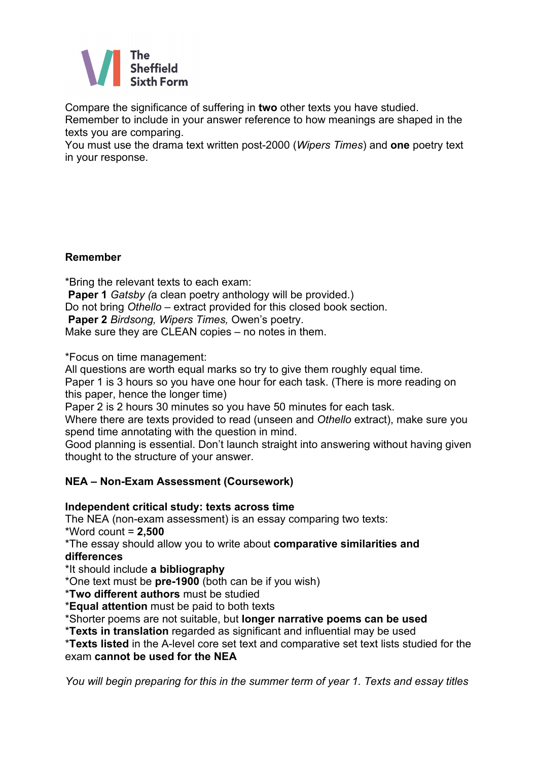

Compare the significance of suffering in **two** other texts you have studied.

Remember to include in your answer reference to how meanings are shaped in the texts you are comparing.

You must use the drama text written post-2000 (*Wipers Times*) and **one** poetry text in your response.

# **Remember**

\*Bring the relevant texts to each exam: **Paper 1** *Gatsby (*a clean poetry anthology will be provided.) Do not bring *Othello* – extract provided for this closed book section. **Paper 2** *Birdsong, Wipers Times,* Owen's poetry. Make sure they are CLEAN copies – no notes in them.

\*Focus on time management:

All questions are worth equal marks so try to give them roughly equal time.

Paper 1 is 3 hours so you have one hour for each task. (There is more reading on this paper, hence the longer time)

Paper 2 is 2 hours 30 minutes so you have 50 minutes for each task.

Where there are texts provided to read (unseen and *Othello* extract), make sure you spend time annotating with the question in mind.

Good planning is essential. Don't launch straight into answering without having given thought to the structure of your answer.

# **NEA – Non-Exam Assessment (Coursework)**

# **Independent critical study: texts across time**

The NEA (non-exam assessment) is an essay comparing two texts: \*Word count = **2,500**

\*The essay should allow you to write about **comparative similarities and differences**

\*It should include **a bibliography**

\*One text must be **pre-1900** (both can be if you wish)

\***Two different authors** must be studied

\***Equal attention** must be paid to both texts

\*Shorter poems are not suitable, but **longer narrative poems can be used**

\***Texts in translation** regarded as significant and influential may be used

\***Texts listed** in the A-level core set text and comparative set text lists studied for the exam **cannot be used for the NEA**

*You will begin preparing for this in the summer term of year 1. Texts and essay titles*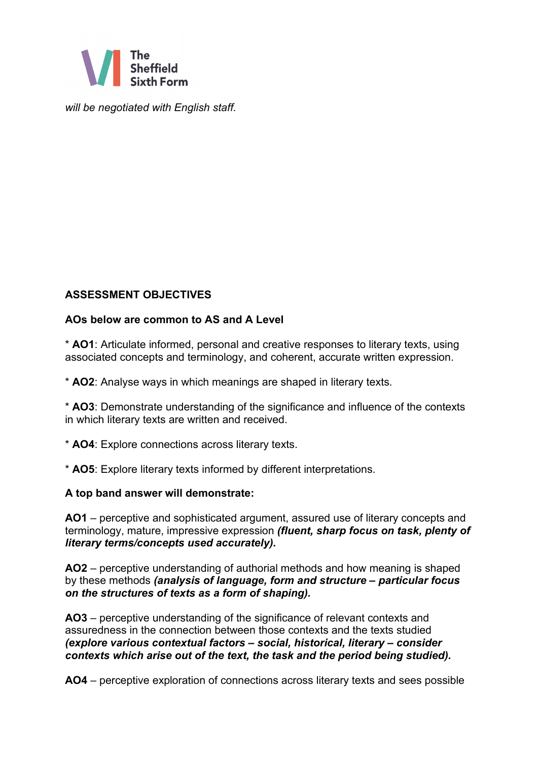

*will be negotiated with English staff.*

# **ASSESSMENT OBJECTIVES**

# **AOs below are common to AS and A Level**

\* **AO1**: Articulate informed, personal and creative responses to literary texts, using associated concepts and terminology, and coherent, accurate written expression.

\* **AO2**: Analyse ways in which meanings are shaped in literary texts.

\* **AO3**: Demonstrate understanding of the significance and influence of the contexts in which literary texts are written and received.

\* **AO4**: Explore connections across literary texts.

\* **AO5**: Explore literary texts informed by different interpretations.

#### **A top band answer will demonstrate:**

**AO1** – perceptive and sophisticated argument, assured use of literary concepts and terminology, mature, impressive expression *(fluent, sharp focus on task, plenty of literary terms/concepts used accurately).*

**AO2** – perceptive understanding of authorial methods and how meaning is shaped by these methods *(analysis of language, form and structure – particular focus on the structures of texts as a form of shaping).*

**AO3** – perceptive understanding of the significance of relevant contexts and assuredness in the connection between those contexts and the texts studied *(explore various contextual factors – social, historical, literary – consider contexts which arise out of the text, the task and the period being studied).*

**AO4** – perceptive exploration of connections across literary texts and sees possible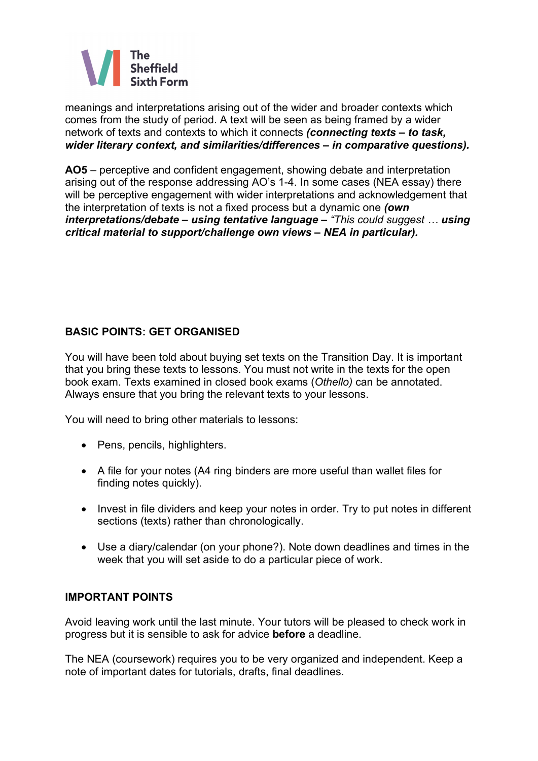

meanings and interpretations arising out of the wider and broader contexts which comes from the study of period. A text will be seen as being framed by a wider network of texts and contexts to which it connects *(connecting texts – to task, wider literary context, and similarities/differences – in comparative questions).*

**AO5** – perceptive and confident engagement, showing debate and interpretation arising out of the response addressing AO's 1-4. In some cases (NEA essay) there will be perceptive engagement with wider interpretations and acknowledgement that the interpretation of texts is not a fixed process but a dynamic one *(own interpretations/debate – using tentative language – "This could suggest … using critical material to support/challenge own views – NEA in particular).*

# **BASIC POINTS: GET ORGANISED**

You will have been told about buying set texts on the Transition Day. It is important that you bring these texts to lessons. You must not write in the texts for the open book exam. Texts examined in closed book exams (*Othello)* can be annotated. Always ensure that you bring the relevant texts to your lessons.

You will need to bring other materials to lessons:

- Pens, pencils, highlighters.
- A file for your notes (A4 ring binders are more useful than wallet files for finding notes quickly).
- Invest in file dividers and keep your notes in order. Try to put notes in different sections (texts) rather than chronologically.
- Use a diary/calendar (on your phone?). Note down deadlines and times in the week that you will set aside to do a particular piece of work.

#### **IMPORTANT POINTS**

Avoid leaving work until the last minute. Your tutors will be pleased to check work in progress but it is sensible to ask for advice **before** a deadline.

The NEA (coursework) requires you to be very organized and independent. Keep a note of important dates for tutorials, drafts, final deadlines.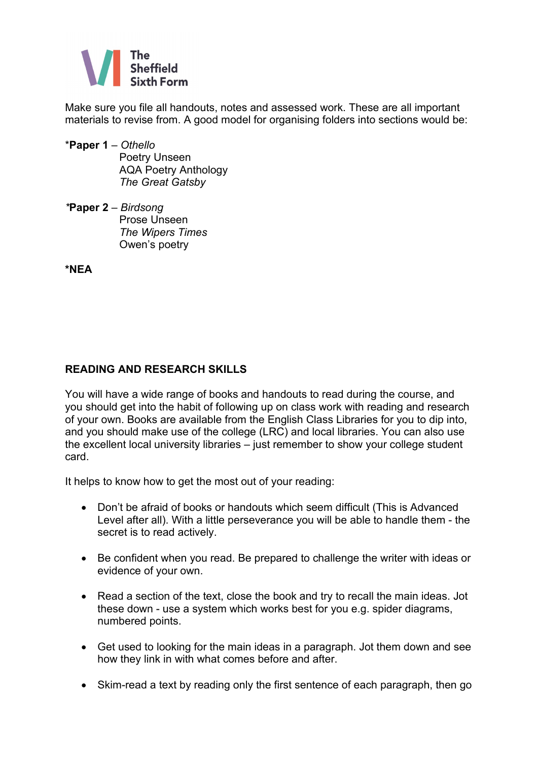

Make sure you file all handouts, notes and assessed work. These are all important materials to revise from. A good model for organising folders into sections would be:

- \***Paper 1** *Othello* **Poetry Unseen**  AQA Poetry Anthology *The Great Gatsby*
- *\****Paper 2** *Birdsong* **Prose Unseen**  *The Wipers Times* Owen's poetry

**\*NEA**

# **READING AND RESEARCH SKILLS**

You will have a wide range of books and handouts to read during the course, and you should get into the habit of following up on class work with reading and research of your own. Books are available from the English Class Libraries for you to dip into, and you should make use of the college (LRC) and local libraries. You can also use the excellent local university libraries – just remember to show your college student card.

It helps to know how to get the most out of your reading:

- Don't be afraid of books or handouts which seem difficult (This is Advanced Level after all). With a little perseverance you will be able to handle them - the secret is to read actively.
- Be confident when you read. Be prepared to challenge the writer with ideas or evidence of your own.
- Read a section of the text, close the book and try to recall the main ideas. Jot these down - use a system which works best for you e.g. spider diagrams, numbered points.
- Get used to looking for the main ideas in a paragraph. Jot them down and see how they link in with what comes before and after.
- Skim-read a text by reading only the first sentence of each paragraph, then go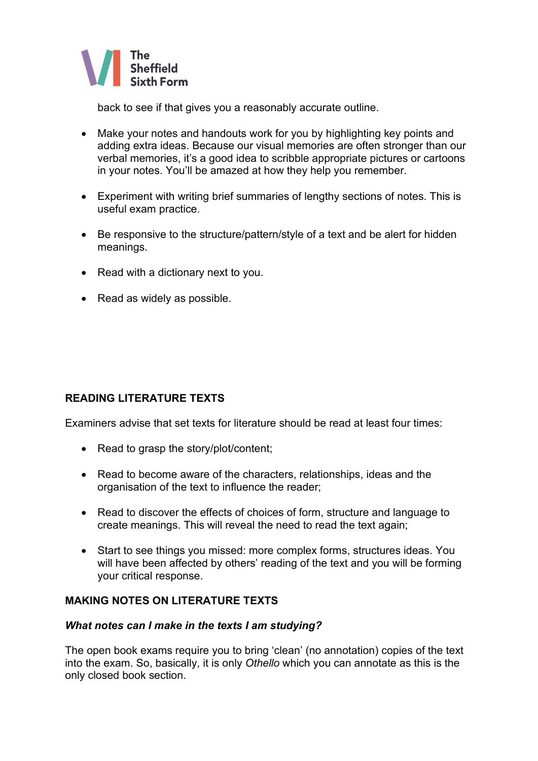

back to see if that gives you a reasonably accurate outline.

- Make your notes and handouts work for you by highlighting key points and adding extra ideas. Because our visual memories are often stronger than our verbal memories, it's a good idea to scribble appropriate pictures or cartoons in your notes. You'll be amazed at how they help you remember.
- Experiment with writing brief summaries of lengthy sections of notes. This is useful exam practice.
- Be responsive to the structure/pattern/style of a text and be alert for hidden meanings.
- Read with a dictionary next to you.
- Read as widely as possible.

# **READING LITERATURE TEXTS**

Examiners advise that set texts for literature should be read at least four times:

- Read to grasp the story/plot/content;
- Read to become aware of the characters, relationships, ideas and the organisation of the text to influence the reader;
- Read to discover the effects of choices of form, structure and language to create meanings. This will reveal the need to read the text again;
- Start to see things you missed: more complex forms, structures ideas. You will have been affected by others' reading of the text and you will be forming your critical response.

#### **MAKING NOTES ON LITERATURE TEXTS**

#### *What notes can I make in the texts I am studying?*

The open book exams require you to bring 'clean' (no annotation) copies of the text into the exam. So, basically, it is only *Othello* which you can annotate as this is the only closed book section.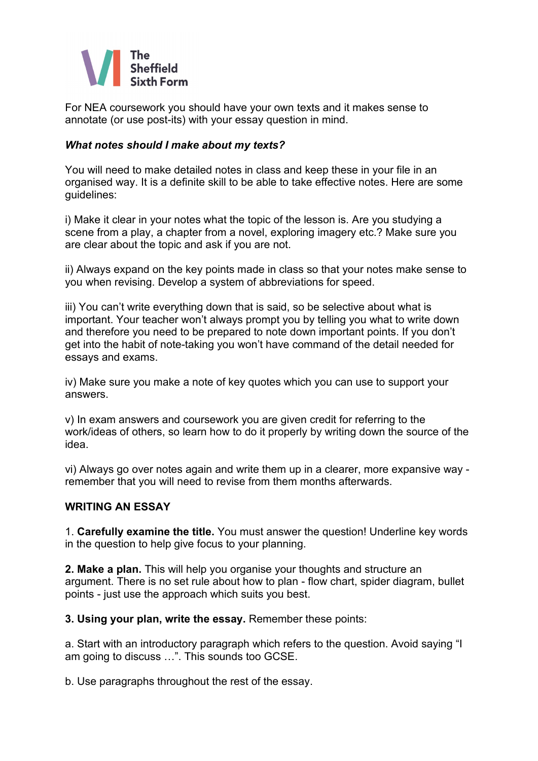

For NEA coursework you should have your own texts and it makes sense to annotate (or use post-its) with your essay question in mind.

### *What notes should I make about my texts?*

You will need to make detailed notes in class and keep these in your file in an organised way. It is a definite skill to be able to take effective notes. Here are some guidelines:

i) Make it clear in your notes what the topic of the lesson is. Are you studying a scene from a play, a chapter from a novel, exploring imagery etc.? Make sure you are clear about the topic and ask if you are not.

ii) Always expand on the key points made in class so that your notes make sense to you when revising. Develop a system of abbreviations for speed.

iii) You can't write everything down that is said, so be selective about what is important. Your teacher won't always prompt you by telling you what to write down and therefore you need to be prepared to note down important points. If you don't get into the habit of note-taking you won't have command of the detail needed for essays and exams.

iv) Make sure you make a note of key quotes which you can use to support your answers.

v) In exam answers and coursework you are given credit for referring to the work/ideas of others, so learn how to do it properly by writing down the source of the idea.

vi) Always go over notes again and write them up in a clearer, more expansive way remember that you will need to revise from them months afterwards.

#### **WRITING AN ESSAY**

1. **Carefully examine the title.** You must answer the question! Underline key words in the question to help give focus to your planning.

**2. Make a plan.** This will help you organise your thoughts and structure an argument. There is no set rule about how to plan - flow chart, spider diagram, bullet points - just use the approach which suits you best.

**3. Using your plan, write the essay.** Remember these points:

a. Start with an introductory paragraph which refers to the question. Avoid saying "I am going to discuss …". This sounds too GCSE.

b. Use paragraphs throughout the rest of the essay.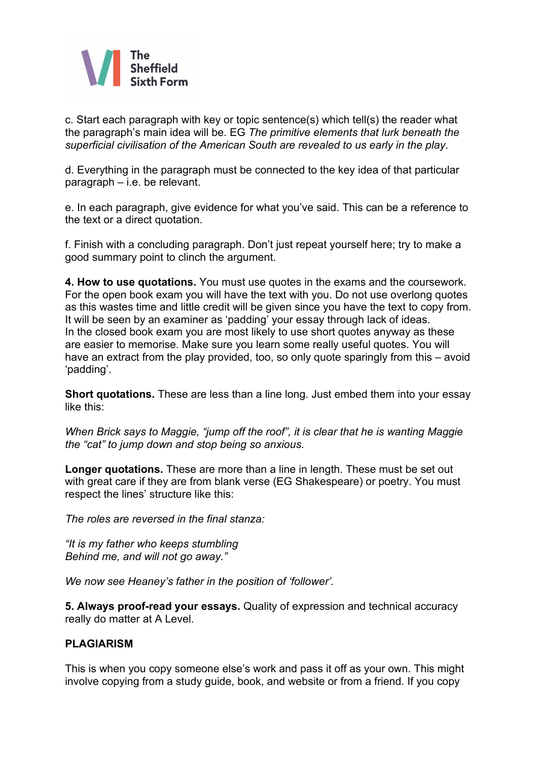

c. Start each paragraph with key or topic sentence(s) which tell(s) the reader what the paragraph's main idea will be. EG *The primitive elements that lurk beneath the superficial civilisation of the American South are revealed to us early in the play.*

d. Everything in the paragraph must be connected to the key idea of that particular paragraph – i.e. be relevant.

e. In each paragraph, give evidence for what you've said. This can be a reference to the text or a direct quotation.

f. Finish with a concluding paragraph. Don't just repeat yourself here; try to make a good summary point to clinch the argument.

**4. How to use quotations.** You must use quotes in the exams and the coursework. For the open book exam you will have the text with you. Do not use overlong quotes as this wastes time and little credit will be given since you have the text to copy from. It will be seen by an examiner as 'padding' your essay through lack of ideas. In the closed book exam you are most likely to use short quotes anyway as these are easier to memorise. Make sure you learn some really useful quotes. You will have an extract from the play provided, too, so only quote sparingly from this – avoid 'padding'.

**Short quotations.** These are less than a line long. Just embed them into your essay like this:

*When Brick says to Maggie, "jump off the roof", it is clear that he is wanting Maggie the "cat" to jump down and stop being so anxious.*

**Longer quotations.** These are more than a line in length. These must be set out with great care if they are from blank verse (EG Shakespeare) or poetry. You must respect the lines' structure like this:

*The roles are reversed in the final stanza:*

*"It is my father who keeps stumbling Behind me, and will not go away."*

*We now see Heaney's father in the position of 'follower'.*

**5. Always proof-read your essays.** Quality of expression and technical accuracy really do matter at A Level.

#### **PLAGIARISM**

This is when you copy someone else's work and pass it off as your own. This might involve copying from a study guide, book, and website or from a friend. If you copy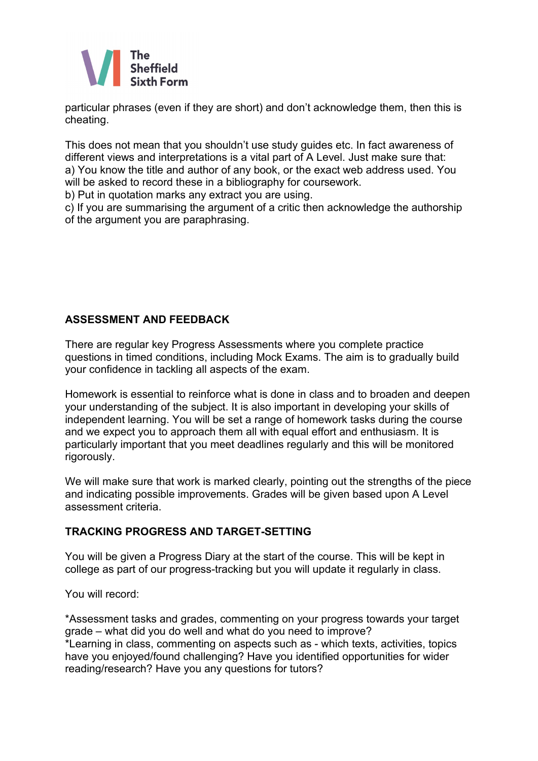

particular phrases (even if they are short) and don't acknowledge them, then this is cheating.

This does not mean that you shouldn't use study guides etc. In fact awareness of different views and interpretations is a vital part of A Level. Just make sure that: a) You know the title and author of any book, or the exact web address used. You will be asked to record these in a bibliography for coursework.

b) Put in quotation marks any extract you are using.

c) If you are summarising the argument of a critic then acknowledge the authorship of the argument you are paraphrasing.

# **ASSESSMENT AND FEEDBACK**

There are regular key Progress Assessments where you complete practice questions in timed conditions, including Mock Exams. The aim is to gradually build your confidence in tackling all aspects of the exam.

Homework is essential to reinforce what is done in class and to broaden and deepen your understanding of the subject. It is also important in developing your skills of independent learning. You will be set a range of homework tasks during the course and we expect you to approach them all with equal effort and enthusiasm. It is particularly important that you meet deadlines regularly and this will be monitored rigorously.

We will make sure that work is marked clearly, pointing out the strengths of the piece and indicating possible improvements. Grades will be given based upon A Level assessment criteria.

# **TRACKING PROGRESS AND TARGET-SETTING**

You will be given a Progress Diary at the start of the course. This will be kept in college as part of our progress-tracking but you will update it regularly in class.

You will record:

\*Assessment tasks and grades, commenting on your progress towards your target grade – what did you do well and what do you need to improve? \*Learning in class, commenting on aspects such as - which texts, activities, topics have you enjoyed/found challenging? Have you identified opportunities for wider reading/research? Have you any questions for tutors?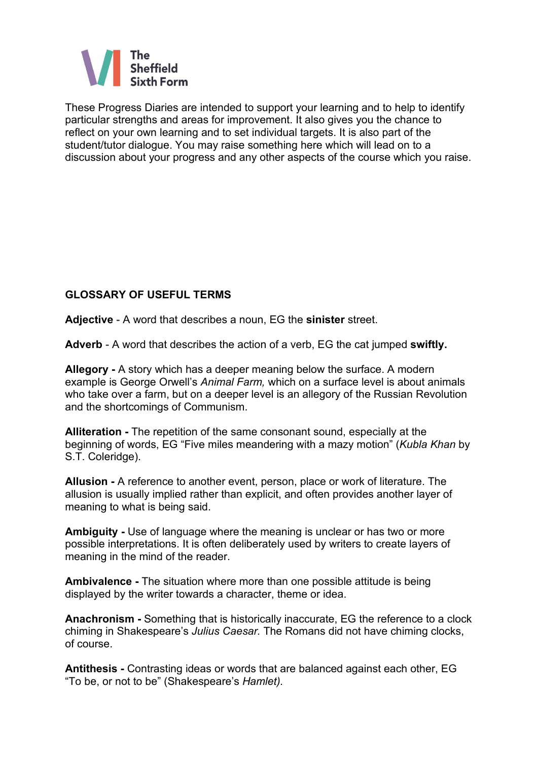

These Progress Diaries are intended to support your learning and to help to identify particular strengths and areas for improvement. It also gives you the chance to reflect on your own learning and to set individual targets. It is also part of the student/tutor dialogue. You may raise something here which will lead on to a discussion about your progress and any other aspects of the course which you raise.

# **GLOSSARY OF USEFUL TERMS**

**Adjective** - A word that describes a noun, EG the **sinister** street.

**Adverb** - A word that describes the action of a verb, EG the cat jumped **swiftly.**

**Allegory -** A story which has a deeper meaning below the surface. A modern example is George Orwell's *Animal Farm,* which on a surface level is about animals who take over a farm, but on a deeper level is an allegory of the Russian Revolution and the shortcomings of Communism.

**Alliteration -** The repetition of the same consonant sound, especially at the beginning of words, EG "Five miles meandering with a mazy motion" (*Kubla Khan* by S.T. Coleridge).

**Allusion -** A reference to another event, person, place or work of literature. The allusion is usually implied rather than explicit, and often provides another layer of meaning to what is being said.

**Ambiguity -** Use of language where the meaning is unclear or has two or more possible interpretations. It is often deliberately used by writers to create layers of meaning in the mind of the reader.

**Ambivalence -** The situation where more than one possible attitude is being displayed by the writer towards a character, theme or idea.

**Anachronism -** Something that is historically inaccurate, EG the reference to a clock chiming in Shakespeare's *Julius Caesar.* The Romans did not have chiming clocks, of course.

**Antithesis -** Contrasting ideas or words that are balanced against each other, EG "To be, or not to be" (Shakespeare's *Hamlet).*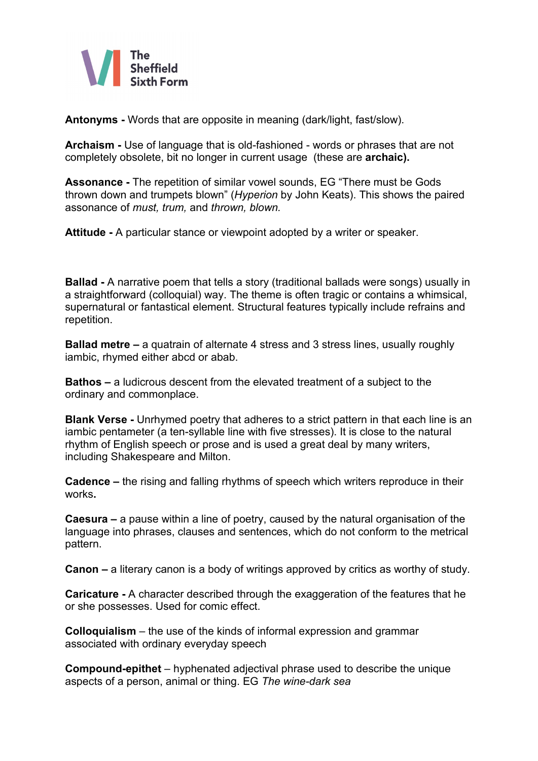

**Antonyms -** Words that are opposite in meaning (dark/light, fast/slow).

**Archaism -** Use of language that is old-fashioned - words or phrases that are not completely obsolete, bit no longer in current usage (these are **archaic).**

**Assonance -** The repetition of similar vowel sounds, EG "There must be Gods thrown down and trumpets blown" (*Hyperion* by John Keats). This shows the paired assonance of *must, trum,* and *thrown, blown.*

**Attitude -** A particular stance or viewpoint adopted by a writer or speaker.

**Ballad -** A narrative poem that tells a story (traditional ballads were songs) usually in a straightforward (colloquial) way. The theme is often tragic or contains a whimsical, supernatural or fantastical element. Structural features typically include refrains and repetition.

**Ballad metre –** a quatrain of alternate 4 stress and 3 stress lines, usually roughly iambic, rhymed either abcd or abab.

**Bathos –** a ludicrous descent from the elevated treatment of a subject to the ordinary and commonplace.

**Blank Verse -** Unrhymed poetry that adheres to a strict pattern in that each line is an iambic pentameter (a ten-syllable line with five stresses). It is close to the natural rhythm of English speech or prose and is used a great deal by many writers, including Shakespeare and Milton.

**Cadence –** the rising and falling rhythms of speech which writers reproduce in their works**.**

**Caesura –** a pause within a line of poetry, caused by the natural organisation of the language into phrases, clauses and sentences, which do not conform to the metrical pattern.

**Canon –** a literary canon is a body of writings approved by critics as worthy of study.

**Caricature -** A character described through the exaggeration of the features that he or she possesses. Used for comic effect.

**Colloquialism** – the use of the kinds of informal expression and grammar associated with ordinary everyday speech

**Compound-epithet** – hyphenated adjectival phrase used to describe the unique aspects of a person, animal or thing. EG *The wine-dark sea*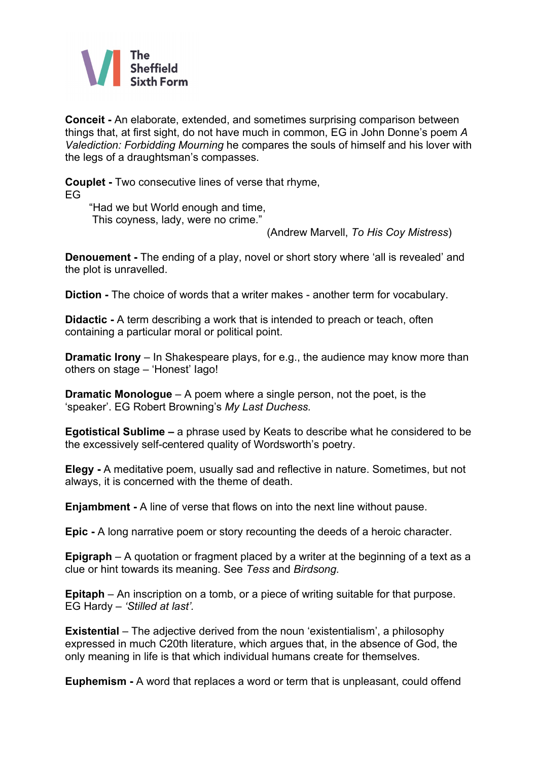

**Conceit -** An elaborate, extended, and sometimes surprising comparison between things that, at first sight, do not have much in common, EG in John Donne's poem *A Valediction: Forbidding Mourning* he compares the souls of himself and his lover with the legs of a draughtsman's compasses.

**Couplet -** Two consecutive lines of verse that rhyme, EG

 "Had we but World enough and time, This coyness, lady, were no crime."

(Andrew Marvell, *To His Coy Mistress*)

**Denouement -** The ending of a play, novel or short story where 'all is revealed' and the plot is unravelled.

**Diction -** The choice of words that a writer makes - another term for vocabulary.

**Didactic -** A term describing a work that is intended to preach or teach, often containing a particular moral or political point.

**Dramatic Irony** – In Shakespeare plays, for e.g., the audience may know more than others on stage – 'Honest' Iago!

**Dramatic Monologue** – A poem where a single person, not the poet, is the 'speaker'. EG Robert Browning's *My Last Duchess.*

**Egotistical Sublime –** a phrase used by Keats to describe what he considered to be the excessively self-centered quality of Wordsworth's poetry.

**Elegy -** A meditative poem, usually sad and reflective in nature. Sometimes, but not always, it is concerned with the theme of death.

**Enjambment -** A line of verse that flows on into the next line without pause.

**Epic -** A long narrative poem or story recounting the deeds of a heroic character.

**Epigraph** – A quotation or fragment placed by a writer at the beginning of a text as a clue or hint towards its meaning. See *Tess* and *Birdsong.*

**Epitaph** – An inscription on a tomb, or a piece of writing suitable for that purpose. EG Hardy – *'Stilled at last'.*

**Existential** *–* The adjective derived from the noun 'existentialism', a philosophy expressed in much C20th literature, which argues that, in the absence of God, the only meaning in life is that which individual humans create for themselves.

**Euphemism -** A word that replaces a word or term that is unpleasant, could offend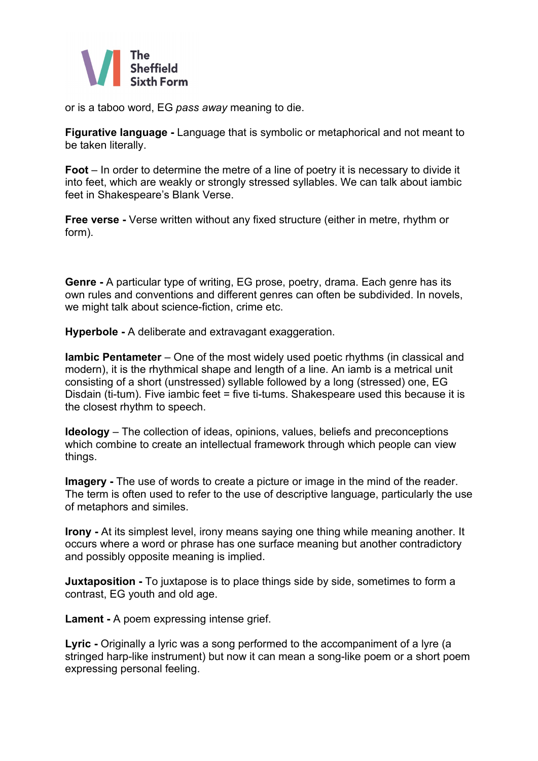

or is a taboo word, EG *pass away* meaning to die.

**Figurative language -** Language that is symbolic or metaphorical and not meant to be taken literally.

**Foot** – In order to determine the metre of a line of poetry it is necessary to divide it into feet, which are weakly or strongly stressed syllables. We can talk about iambic feet in Shakespeare's Blank Verse.

**Free verse -** Verse written without any fixed structure (either in metre, rhythm or form).

**Genre -** A particular type of writing, EG prose, poetry, drama. Each genre has its own rules and conventions and different genres can often be subdivided. In novels, we might talk about science-fiction, crime etc.

**Hyperbole -** A deliberate and extravagant exaggeration.

**Iambic Pentameter** – One of the most widely used poetic rhythms (in classical and modern), it is the rhythmical shape and length of a line. An iamb is a metrical unit consisting of a short (unstressed) syllable followed by a long (stressed) one, EG Disdain (ti-tum). Five iambic feet = five ti-tums. Shakespeare used this because it is the closest rhythm to speech.

**Ideology** – The collection of ideas, opinions, values, beliefs and preconceptions which combine to create an intellectual framework through which people can view things.

**Imagery -** The use of words to create a picture or image in the mind of the reader. The term is often used to refer to the use of descriptive language, particularly the use of metaphors and similes.

**Irony -** At its simplest level, irony means saying one thing while meaning another. It occurs where a word or phrase has one surface meaning but another contradictory and possibly opposite meaning is implied.

**Juxtaposition -** To juxtapose is to place things side by side, sometimes to form a contrast, EG youth and old age.

**Lament -** A poem expressing intense grief.

**Lyric -** Originally a lyric was a song performed to the accompaniment of a lyre (a stringed harp-like instrument) but now it can mean a song-like poem or a short poem expressing personal feeling.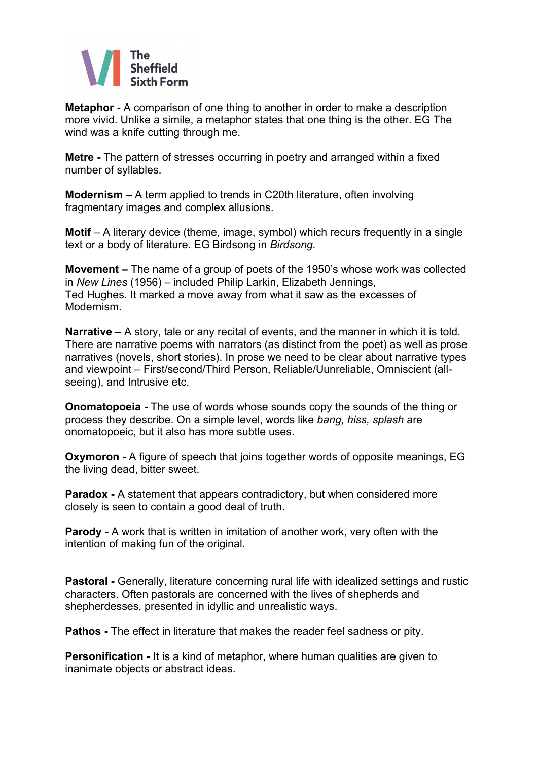

**Metaphor -** A comparison of one thing to another in order to make a description more vivid. Unlike a simile, a metaphor states that one thing is the other. EG The wind was a knife cutting through me.

**Metre -** The pattern of stresses occurring in poetry and arranged within a fixed number of syllables.

**Modernism** – A term applied to trends in C20th literature, often involving fragmentary images and complex allusions.

**Motif** – A literary device (theme, image, symbol) which recurs frequently in a single text or a body of literature. EG Birdsong in *Birdsong.*

**Movement –** The name of a group of poets of the 1950's whose work was collected in *New Lines* (1956) – included Philip Larkin, Elizabeth Jennings, Ted Hughes. It marked a move away from what it saw as the excesses of Modernism.

**Narrative –** A story, tale or any recital of events, and the manner in which it is told. There are narrative poems with narrators (as distinct from the poet) as well as prose narratives (novels, short stories). In prose we need to be clear about narrative types and viewpoint – First/second/Third Person, Reliable/Uunreliable, Omniscient (allseeing), and Intrusive etc.

**Onomatopoeia -** The use of words whose sounds copy the sounds of the thing or process they describe. On a simple level, words like *bang, hiss, splash* are onomatopoeic, but it also has more subtle uses.

**Oxymoron -** A figure of speech that joins together words of opposite meanings, EG the living dead, bitter sweet.

**Paradox -** A statement that appears contradictory, but when considered more closely is seen to contain a good deal of truth.

**Parody -** A work that is written in imitation of another work, very often with the intention of making fun of the original.

**Pastoral -** Generally, literature concerning rural life with idealized settings and rustic characters. Often pastorals are concerned with the lives of shepherds and shepherdesses, presented in idyllic and unrealistic ways.

**Pathos -** The effect in literature that makes the reader feel sadness or pity.

**Personification -** It is a kind of metaphor, where human qualities are given to inanimate objects or abstract ideas.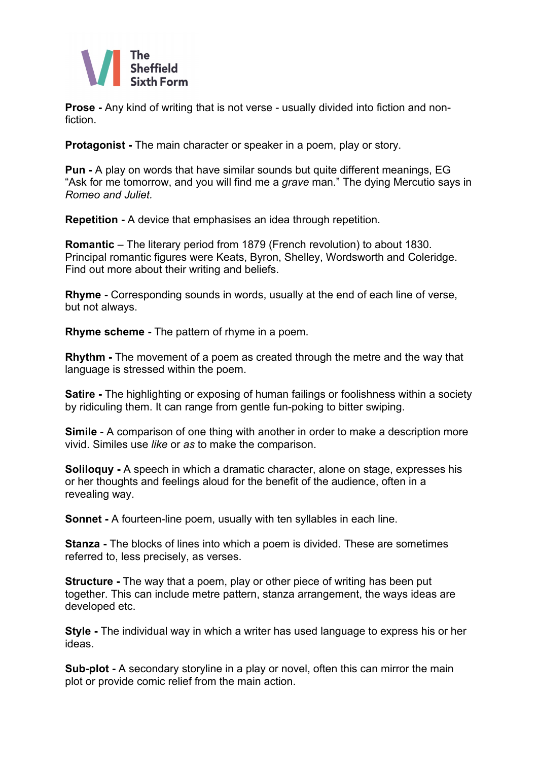

**Prose -** Any kind of writing that is not verse - usually divided into fiction and nonfiction.

**Protagonist -** The main character or speaker in a poem, play or story.

**Pun -** A play on words that have similar sounds but quite different meanings, EG "Ask for me tomorrow, and you will find me a *grave* man." The dying Mercutio says in *Romeo and Juliet.*

**Repetition -** A device that emphasises an idea through repetition.

**Romantic** – The literary period from 1879 (French revolution) to about 1830. Principal romantic figures were Keats, Byron, Shelley, Wordsworth and Coleridge. Find out more about their writing and beliefs.

**Rhyme -** Corresponding sounds in words, usually at the end of each line of verse, but not always.

**Rhyme scheme -** The pattern of rhyme in a poem.

**Rhythm -** The movement of a poem as created through the metre and the way that language is stressed within the poem.

**Satire -** The highlighting or exposing of human failings or foolishness within a society by ridiculing them. It can range from gentle fun-poking to bitter swiping.

**Simile** - A comparison of one thing with another in order to make a description more vivid. Similes use *like* or *as* to make the comparison.

**Soliloquy -** A speech in which a dramatic character, alone on stage, expresses his or her thoughts and feelings aloud for the benefit of the audience, often in a revealing way.

**Sonnet -** A fourteen-line poem, usually with ten syllables in each line.

**Stanza -** The blocks of lines into which a poem is divided. These are sometimes referred to, less precisely, as verses.

**Structure -** The way that a poem, play or other piece of writing has been put together. This can include metre pattern, stanza arrangement, the ways ideas are developed etc.

**Style -** The individual way in which a writer has used language to express his or her ideas.

**Sub-plot -** A secondary storyline in a play or novel, often this can mirror the main plot or provide comic relief from the main action.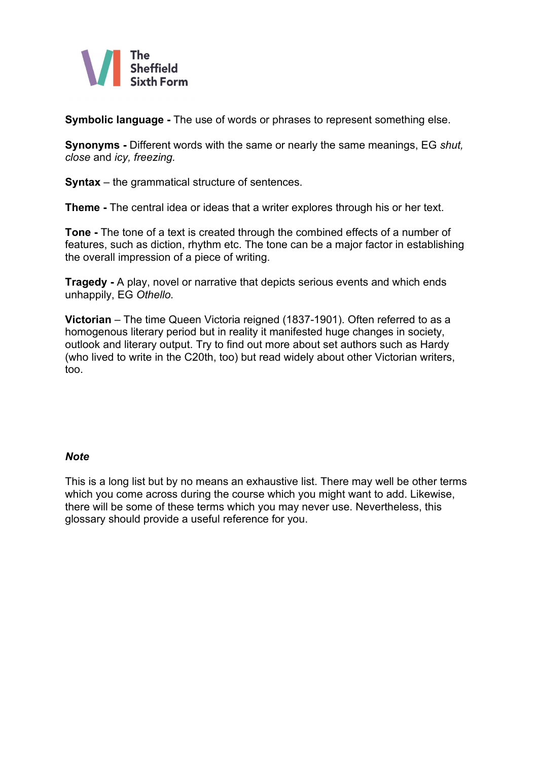

**Symbolic language -** The use of words or phrases to represent something else.

**Synonyms -** Different words with the same or nearly the same meanings, EG *shut, close* and *icy, freezing.*

**Syntax** *–* the grammatical structure of sentences.

**Theme -** The central idea or ideas that a writer explores through his or her text.

**Tone -** The tone of a text is created through the combined effects of a number of features, such as diction, rhythm etc. The tone can be a major factor in establishing the overall impression of a piece of writing.

**Tragedy -** A play, novel or narrative that depicts serious events and which ends unhappily, EG *Othello.*

**Victorian** – The time Queen Victoria reigned (1837-1901). Often referred to as a homogenous literary period but in reality it manifested huge changes in society, outlook and literary output. Try to find out more about set authors such as Hardy (who lived to write in the C20th, too) but read widely about other Victorian writers, too.

#### *Note*

This is a long list but by no means an exhaustive list. There may well be other terms which you come across during the course which you might want to add. Likewise, there will be some of these terms which you may never use. Nevertheless, this glossary should provide a useful reference for you.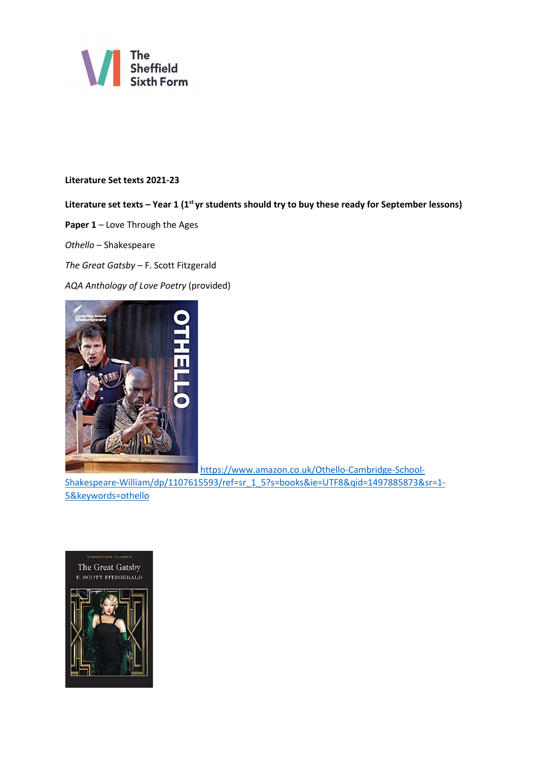

#### **Literature Set texts 2021-23**

# Literature set texts – Year 1 (1<sup>st</sup> yr students should try to buy these ready for September lessons)

**Paper 1** – Love Through the Ages

*Othello* – Shakespeare

*The Great Gatsby –* F. Scott Fitzgerald

*AQA Anthology of Love Poetry* (provided)



[https://www.amazon.co.uk/Othello-Cambridge-School-](https://www.amazon.co.uk/Othello-Cambridge-School-Shakespeare-William/dp/1107615593/ref=sr_1_5?s=books&ie=UTF8&qid=1497885873&sr=1-5&keywords=othello)

[Shakespeare-William/dp/1107615593/ref=sr\\_1\\_5?s=books&ie=UTF8&qid=1497885873&sr=1-](https://www.amazon.co.uk/Othello-Cambridge-School-Shakespeare-William/dp/1107615593/ref=sr_1_5?s=books&ie=UTF8&qid=1497885873&sr=1-5&keywords=othello) [5&keywords=othello](https://www.amazon.co.uk/Othello-Cambridge-School-Shakespeare-William/dp/1107615593/ref=sr_1_5?s=books&ie=UTF8&qid=1497885873&sr=1-5&keywords=othello)

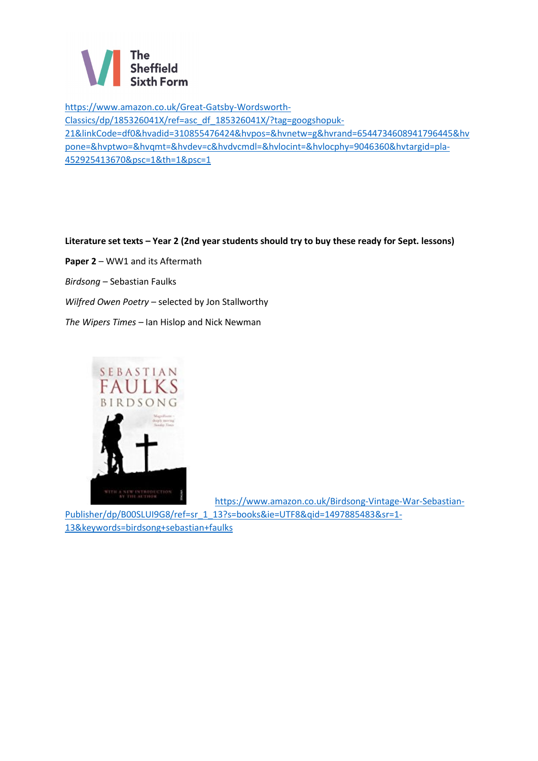

[https://www.amazon.co.uk/Great-Gatsby-Wordsworth-](https://www.amazon.co.uk/Great-Gatsby-Wordsworth-Classics/dp/185326041X/ref=asc_df_185326041X/?tag=googshopuk-21&linkCode=df0&hvadid=310855476424&hvpos=&hvnetw=g&hvrand=6544734608941796445&hvpone=&hvptwo=&hvqmt=&hvdev=c&hvdvcmdl=&hvlocint=&hvlocphy=9046360&hvtargid=pla-452925413670&psc=1&th=1&psc=1)[Classics/dp/185326041X/ref=asc\\_df\\_185326041X/?tag=googshopuk-](https://www.amazon.co.uk/Great-Gatsby-Wordsworth-Classics/dp/185326041X/ref=asc_df_185326041X/?tag=googshopuk-21&linkCode=df0&hvadid=310855476424&hvpos=&hvnetw=g&hvrand=6544734608941796445&hvpone=&hvptwo=&hvqmt=&hvdev=c&hvdvcmdl=&hvlocint=&hvlocphy=9046360&hvtargid=pla-452925413670&psc=1&th=1&psc=1)[21&linkCode=df0&hvadid=310855476424&hvpos=&hvnetw=g&hvrand=6544734608941796445&hv](https://www.amazon.co.uk/Great-Gatsby-Wordsworth-Classics/dp/185326041X/ref=asc_df_185326041X/?tag=googshopuk-21&linkCode=df0&hvadid=310855476424&hvpos=&hvnetw=g&hvrand=6544734608941796445&hvpone=&hvptwo=&hvqmt=&hvdev=c&hvdvcmdl=&hvlocint=&hvlocphy=9046360&hvtargid=pla-452925413670&psc=1&th=1&psc=1) [pone=&hvptwo=&hvqmt=&hvdev=c&hvdvcmdl=&hvlocint=&hvlocphy=9046360&hvtargid=pla-](https://www.amazon.co.uk/Great-Gatsby-Wordsworth-Classics/dp/185326041X/ref=asc_df_185326041X/?tag=googshopuk-21&linkCode=df0&hvadid=310855476424&hvpos=&hvnetw=g&hvrand=6544734608941796445&hvpone=&hvptwo=&hvqmt=&hvdev=c&hvdvcmdl=&hvlocint=&hvlocphy=9046360&hvtargid=pla-452925413670&psc=1&th=1&psc=1)[452925413670&psc=1&th=1&psc=1](https://www.amazon.co.uk/Great-Gatsby-Wordsworth-Classics/dp/185326041X/ref=asc_df_185326041X/?tag=googshopuk-21&linkCode=df0&hvadid=310855476424&hvpos=&hvnetw=g&hvrand=6544734608941796445&hvpone=&hvptwo=&hvqmt=&hvdev=c&hvdvcmdl=&hvlocint=&hvlocphy=9046360&hvtargid=pla-452925413670&psc=1&th=1&psc=1)

#### **Literature set texts – Year 2 (2nd year students should try to buy these ready for Sept. lessons)**

Paper 2 – WW1 and its Aftermath *Birdsong –* Sebastian Faulks *Wilfred Owen Poetry –* selected by Jon Stallworthy *The Wipers Times –* Ian Hislop and Nick Newman



[https://www.amazon.co.uk/Birdsong-Vintage-War-Sebastian-](https://www.amazon.co.uk/Birdsong-Vintage-War-Sebastian-Publisher/dp/B00SLUI9G8/ref=sr_1_13?s=books&ie=UTF8&qid=1497885483&sr=1-13&keywords=birdsong+sebastian+faulks)[Publisher/dp/B00SLUI9G8/ref=sr\\_1\\_13?s=books&ie=UTF8&qid=1497885483&sr=1-](https://www.amazon.co.uk/Birdsong-Vintage-War-Sebastian-Publisher/dp/B00SLUI9G8/ref=sr_1_13?s=books&ie=UTF8&qid=1497885483&sr=1-13&keywords=birdsong+sebastian+faulks)

[13&keywords=birdsong+sebastian+faulks](https://www.amazon.co.uk/Birdsong-Vintage-War-Sebastian-Publisher/dp/B00SLUI9G8/ref=sr_1_13?s=books&ie=UTF8&qid=1497885483&sr=1-13&keywords=birdsong+sebastian+faulks)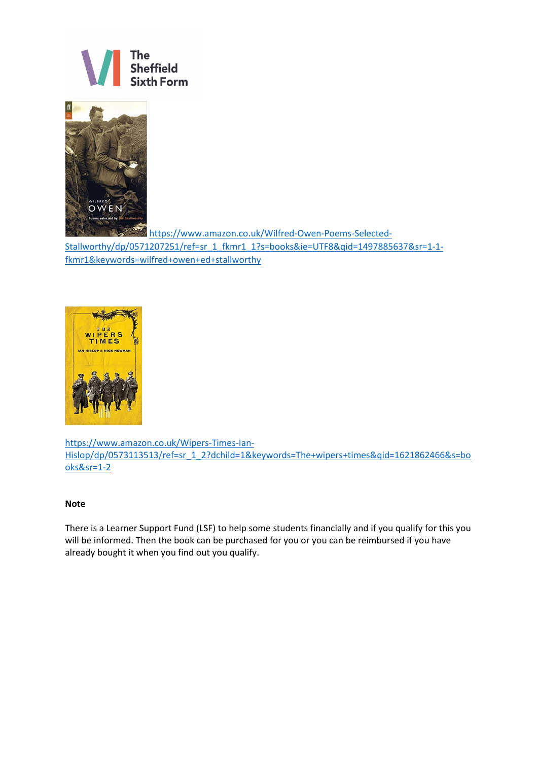



[https://www.amazon.co.uk/Wilfred-Owen-Poems-Selected-](https://www.amazon.co.uk/Wilfred-Owen-Poems-Selected-Stallworthy/dp/0571207251/ref=sr_1_fkmr1_1?s=books&ie=UTF8&qid=1497885637&sr=1-1-fkmr1&keywords=wilfred+owen+ed+stallworthy)

[Stallworthy/dp/0571207251/ref=sr\\_1\\_fkmr1\\_1?s=books&ie=UTF8&qid=1497885637&sr=1-1](https://www.amazon.co.uk/Wilfred-Owen-Poems-Selected-Stallworthy/dp/0571207251/ref=sr_1_fkmr1_1?s=books&ie=UTF8&qid=1497885637&sr=1-1-fkmr1&keywords=wilfred+owen+ed+stallworthy) [fkmr1&keywords=wilfred+owen+ed+stallworthy](https://www.amazon.co.uk/Wilfred-Owen-Poems-Selected-Stallworthy/dp/0571207251/ref=sr_1_fkmr1_1?s=books&ie=UTF8&qid=1497885637&sr=1-1-fkmr1&keywords=wilfred+owen+ed+stallworthy)



[https://www.amazon.co.uk/Wipers-Times-Ian-](https://www.amazon.co.uk/Wipers-Times-Ian-Hislop/dp/0573113513/ref=sr_1_2?dchild=1&keywords=The+wipers+times&qid=1621862466&s=books&sr=1-2)[Hislop/dp/0573113513/ref=sr\\_1\\_2?dchild=1&keywords=The+wipers+times&qid=1621862466&s=bo](https://www.amazon.co.uk/Wipers-Times-Ian-Hislop/dp/0573113513/ref=sr_1_2?dchild=1&keywords=The+wipers+times&qid=1621862466&s=books&sr=1-2) [oks&sr=1-2](https://www.amazon.co.uk/Wipers-Times-Ian-Hislop/dp/0573113513/ref=sr_1_2?dchild=1&keywords=The+wipers+times&qid=1621862466&s=books&sr=1-2)

#### **Note**

There is a Learner Support Fund (LSF) to help some students financially and if you qualify for this you will be informed. Then the book can be purchased for you or you can be reimbursed if you have already bought it when you find out you qualify.